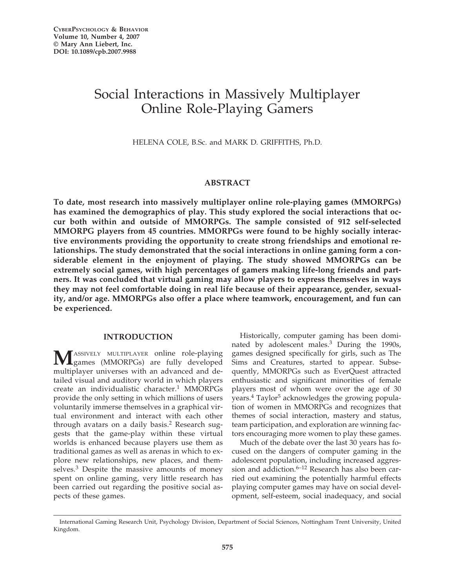# Social Interactions in Massively Multiplayer Online Role-Playing Gamers

HELENA COLE, B.Sc. and MARK D. GRIFFITHS, Ph.D.

# **ABSTRACT**

**To date, most research into massively multiplayer online role-playing games (MMORPGs) has examined the demographics of play. This study explored the social interactions that occur both within and outside of MMORPGs. The sample consisted of 912 self-selected MMORPG players from 45 countries. MMORPGs were found to be highly socially interactive environments providing the opportunity to create strong friendships and emotional relationships. The study demonstrated that the social interactions in online gaming form a considerable element in the enjoyment of playing. The study showed MMORPGs can be extremely social games, with high percentages of gamers making life-long friends and partners. It was concluded that virtual gaming may allow players to express themselves in ways they may not feel comfortable doing in real life because of their appearance, gender, sexuality, and/or age. MMORPGs also offer a place where teamwork, encouragement, and fun can be experienced.**

# **INTRODUCTION**

**M**ASSIVELY MULTIPLAYER online role-playing<br>games (MMORPGs) are fully developed multiplayer universes with an advanced and detailed visual and auditory world in which players create an individualistic character.<sup>1</sup> MMORPGs provide the only setting in which millions of users voluntarily immerse themselves in a graphical virtual environment and interact with each other through avatars on a daily basis.<sup>2</sup> Research suggests that the game-play within these virtual worlds is enhanced because players use them as traditional games as well as arenas in which to explore new relationships, new places, and themselves.<sup>3</sup> Despite the massive amounts of money spent on online gaming, very little research has been carried out regarding the positive social aspects of these games.

Historically, computer gaming has been dominated by adolescent males.<sup>3</sup> During the 1990s, games designed specifically for girls, such as The Sims and Creatures, started to appear. Subsequently, MMORPGs such as EverQuest attracted enthusiastic and significant minorities of female players most of whom were over the age of 30 years.<sup>4</sup> Taylor<sup>5</sup> acknowledges the growing population of women in MMORPGs and recognizes that themes of social interaction, mastery and status, team participation, and exploration are winning factors encouraging more women to play these games.

Much of the debate over the last 30 years has focused on the dangers of computer gaming in the adolescent population, including increased aggression and addiction. $6-12$  Research has also been carried out examining the potentially harmful effects playing computer games may have on social development, self-esteem, social inadequacy, and social

International Gaming Research Unit, Psychology Division, Department of Social Sciences, Nottingham Trent University, United Kingdom.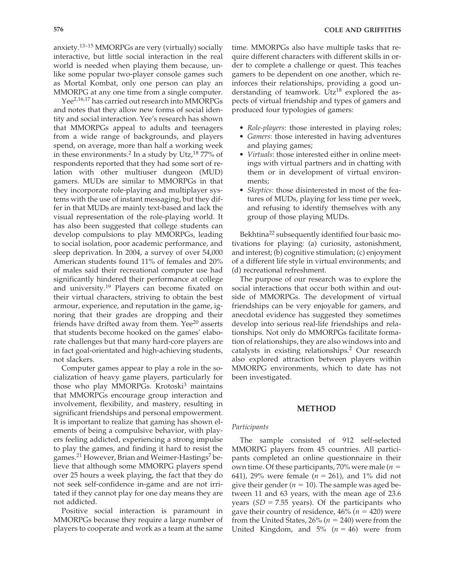anxiety.<sup>13–15</sup> MMORPGs are very (virtually) socially interactive, but little social interaction in the real world is needed when playing them because, unlike some popular two-player console games such as Mortal Kombat, only one person can play an MMORPG at any one time from a single computer.

Yee<sup>2,16,17</sup> has carried out research into MMORPGs and notes that they allow new forms of social identity and social interaction. Yee's research has shown that MMORPGs appeal to adults and teenagers from a wide range of backgrounds, and players spend, on average, more than half a working week in these environments.<sup>2</sup> In a study by Utz,<sup>18</sup> 77% of respondents reported that they had some sort of relation with other multiuser dungeon (MUD) gamers. MUDs are similar to MMORPGs in that they incorporate role-playing and multiplayer systems with the use of instant messaging, but they differ in that MUDs are mainly text-based and lack the visual representation of the role-playing world. It has also been suggested that college students can develop compulsions to play MMORPGs, leading to social isolation, poor academic performance, and sleep deprivation. In 2004, a survey of over 54,000 American students found 11% of females and 20% of males said their recreational computer use had significantly hindered their performance at college and university.<sup>19</sup> Players can become fixated on their virtual characters, striving to obtain the best armour, experience, and reputation in the game, ignoring that their grades are dropping and their friends have drifted away from them. Yee<sup>20</sup> asserts that students become hooked on the games' elaborate challenges but that many hard-core players are in fact goal-orientated and high-achieving students, not slackers.

Computer games appear to play a role in the socialization of heavy game players, particularly for those who play MMORPGs. Krotoski $3$  maintains that MMORPGs encourage group interaction and involvement, flexibility, and mastery, resulting in significant friendships and personal empowerment. It is important to realize that gaming has shown elements of being a compulsive behavior, with players feeling addicted, experiencing a strong impulse to play the games, and finding it hard to resist the games.<sup>21</sup> However, Brian and Weimer-Hastings<sup>7</sup> believe that although some MMORPG players spend over 25 hours a week playing, the fact that they do not seek self-confidence in-game and are not irritated if they cannot play for one day means they are not addicted.

Positive social interaction is paramount in MMORPGs because they require a large number of players to cooperate and work as a team at the same

time. MMORPGs also have multiple tasks that require different characters with different skills in order to complete a challenge or quest. This teaches gamers to be dependent on one another, which reinforces their relationships, providing a good understanding of teamwork. Utz<sup>18</sup> explored the aspects of virtual friendship and types of gamers and produced four typologies of gamers:

- *Role-players*: those interested in playing roles;
- *Gamers*: those interested in having adventures and playing games;
- *Virtuals*: those interested either in online meetings with virtual partners and in chatting with them or in development of virtual environments;
- *Skeptics*: those disinterested in most of the features of MUDs, playing for less time per week, and refusing to identify themselves with any group of those playing MUDs.

Bekhtina<sup>22</sup> subsequently identified four basic motivations for playing: (a) curiosity, astonishment, and interest; (b) cognitive stimulation; (c) enjoyment of a different life style in virtual environments; and (d) recreational refreshment.

The purpose of our research was to explore the social interactions that occur both within and outside of MMORPGs. The development of virtual friendships can be very enjoyable for gamers, and anecdotal evidence has suggested they sometimes develop into serious real-life friendships and relationships. Not only do MMORPGs facilitate formation of relationships, they are also windows into and catalysts in existing relationships.2 Our research also explored attraction between players within MMORPG environments, which to date has not been investigated.

#### **METHOD**

#### *Participants*

The sample consisted of 912 self-selected MMORPG players from 45 countries. All participants completed an online questionnaire in their own time. Of these participants, 70% were male ( $n =$ 641), 29% were female  $(n = 261)$ , and 1% did not give their gender ( $n = 10$ ). The sample was aged between 11 and 63 years, with the mean age of 23.6 years  $(SD = 7.55$  years). Of the participants who gave their country of residence,  $46\%$  ( $n = 420$ ) were from the United States*,* 26% ( $n = 240$ ) were from the United Kingdom, and  $5\%$  ( $n = 46$ ) were from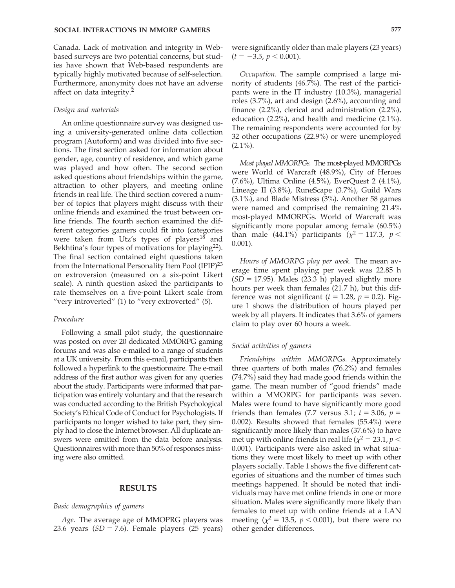Canada. Lack of motivation and integrity in Webbased surveys are two potential concerns, but studies have shown that Web-based respondents are typically highly motivated because of self-selection. Furthermore, anonymity does not have an adverse affect on data integrity.2

#### *Design and materials*

An online questionnaire survey was designed using a university-generated online data collection program (Autoform) and was divided into five sections. The first section asked for information about gender, age, country of residence, and which game was played and how often. The second section asked questions about friendships within the game, attraction to other players, and meeting online friends in real life. The third section covered a number of topics that players might discuss with their online friends and examined the trust between online friends. The fourth section examined the different categories gamers could fit into (categories were taken from Utz's types of players<sup>18</sup> and Bekhtina's four types of motivations for playing $^{22}$ ). The final section contained eight questions taken from the International Personality Item Pool (IPIP)<sup>23</sup> on extroversion (measured on a six-point Likert scale). A ninth question asked the participants to rate themselves on a five-point Likert scale from "very introverted" (1) to "very extroverted" (5).

#### *Procedure*

Following a small pilot study, the questionnaire was posted on over 20 dedicated MMORPG gaming forums and was also e-mailed to a range of students at a UK university. From this e-mail, participants then followed a hyperlink to the questionnaire. The e-mail address of the first author was given for any queries about the study. Participants were informed that participation was entirely voluntary and that the research was conducted according to the British Psychological Society's Ethical Code of Conduct for Psychologists. If participants no longer wished to take part, they simply had to close the Internet browser. All duplicate answers were omitted from the data before analysis. Questionnaires with more than 50% of responses missing were also omitted.

#### **RESULTS**

### *Basic demographics of gamers*

*Age.* The average age of MMOPRG players was 23.6 years  $(SD = 7.6)$ . Female players  $(25 \text{ years})$  were significantly older than male players (23 years)  $(t = -3.5, p < 0.001).$ 

*Occupation.* The sample comprised a large minority of students (46.7%). The rest of the participants were in the IT industry (10.3%), managerial roles (3.7%), art and design (2.6%), accounting and finance (2.2%), clerical and administration (2.2%), education (2.2%), and health and medicine (2.1%). The remaining respondents were accounted for by 32 other occupations (22.9%) or were unemployed  $(2.1\%)$ .

*Most played MMORPGs.* The most-played MMORPGs were World of Warcraft (48.9%), City of Heroes (7.6%), Ultima Online (4.5%), EverQuest 2 (4.1%), Lineage II (3.8%), RuneScape (3.7%), Guild Wars (3.1%), and Blade Mistress (3%). Another 58 games were named and comprised the remaining 21.4% most-played MMORPGs. World of Warcraft was significantly more popular among female (60.5%) than male (44.1%) participants ( $\chi^2 = 117.3$ ,  $p <$ 0.001).

*Hours of MMORPG play per week.* The mean average time spent playing per week was 22.85 h  $(SD = 17.95)$ . Males  $(23.3 h)$  played slightly more hours per week than females (21.7 h), but this difference was not significant  $(t = 1.28, p = 0.2)$ . Figure 1 shows the distribution of hours played per week by all players. It indicates that 3.6% of gamers claim to play over 60 hours a week.

#### *Social activities of gamers*

*Friendships within MMORPGs.* Approximately three quarters of both males (76.2%) and females (74.7%) said they had made good friends within the game. The mean number of "good friends" made within a MMORPG for participants was seven. Males were found to have significantly more good friends than females (7.7 versus 3.1;  $t = 3.06$ ,  $p =$ 0.002). Results showed that females (55.4%) were significantly more likely than males (37.6%) to have met up with online friends in real life ( $\chi^2 = 23.1$ ,  $p <$ 0.001). Participants were also asked in what situations they were most likely to meet up with other players socially. Table 1 shows the five different categories of situations and the number of times such meetings happened. It should be noted that individuals may have met online friends in one or more situation. Males were significantly more likely than females to meet up with online friends at a LAN meeting  $(\chi^2 = 13.5, p < 0.001)$ , but there were no other gender differences.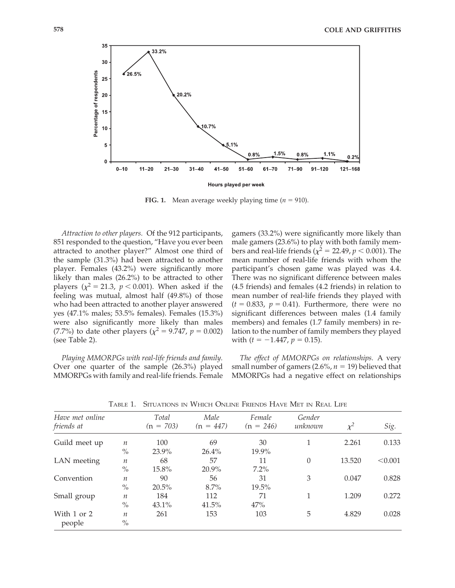

**FIG. 1.** Mean average weekly playing time  $(n = 910)$ .

*Attraction to other players.* Of the 912 participants, 851 responded to the question, "Have you ever been attracted to another player?" Almost one third of the sample (31.3%) had been attracted to another player. Females (43.2%) were significantly more likely than males (26.2%) to be attracted to other players ( $\chi^2 = 21.3$ ,  $p < 0.001$ ). When asked if the feeling was mutual, almost half (49.8%) of those who had been attracted to another player answered yes (47.1% males; 53.5% females). Females (15.3%) were also significantly more likely than males (7.7%) to date other players ( $\chi^2 = 9.747$ ,  $p = 0.002$ ) (see Table 2).

*Playing MMORPGs with real-life friends and family.* Over one quarter of the sample (26.3%) played MMORPGs with family and real-life friends. Female gamers (33.2%) were significantly more likely than male gamers (23.6%) to play with both family members and real-life friends ( $\chi^2$  = 22.49,  $p$  < 0.001). The mean number of real-life friends with whom the participant's chosen game was played was 4.4. There was no significant difference between males (4.5 friends) and females (4.2 friends) in relation to mean number of real-life friends they played with  $(t = 0.833, p = 0.41)$ . Furthermore, there were no significant differences between males (1.4 family members) and females (1.7 family members) in relation to the number of family members they played with  $(t = -1.447, p = 0.15)$ .

*The effect of MMORPGs on relationships.* A very small number of gamers (2.6%,  $n = 19$ ) believed that MMORPGs had a negative effect on relationships

| Have met online<br>friends at |                  | Total<br>$(n = 703)$ | Male<br>$(n = 447)$ | Female<br>$(n = 246)$ | Gender<br>unknown | $\chi^2$ | Sig.    |
|-------------------------------|------------------|----------------------|---------------------|-----------------------|-------------------|----------|---------|
| Guild meet up                 | $\boldsymbol{n}$ | 100                  | 69                  | 30                    |                   | 2.261    | 0.133   |
|                               | $\%$             | 23.9%                | $26.4\%$            | 19.9%                 |                   |          |         |
| LAN meeting                   | $\boldsymbol{n}$ | 68                   | 57                  | 11                    | $\Omega$          | 13.520   | < 0.001 |
|                               | $\frac{0}{0}$    | 15.8%                | 20.9%               | $7.2\%$               |                   |          |         |
| Convention                    | $\boldsymbol{n}$ | 90                   | 56                  | 31                    | 3                 | 0.047    | 0.828   |
|                               | $\frac{0}{0}$    | $20.5\%$             | $8.7\%$             | 19.5%                 |                   |          |         |
| Small group                   | $\boldsymbol{n}$ | 184                  | 112                 | 71                    |                   | 1.209    | 0.272   |
|                               | $\%$             | 43.1%                | 41.5%               | 47%                   |                   |          |         |
| With 1 or 2                   | $\boldsymbol{n}$ | 261                  | 153                 | 103                   | 5                 | 4.829    | 0.028   |
| people                        | $\%$             |                      |                     |                       |                   |          |         |

TABLE 1. SITUATIONS IN WHICH ONLINE FRIENDS HAVE MET IN REAL LIFE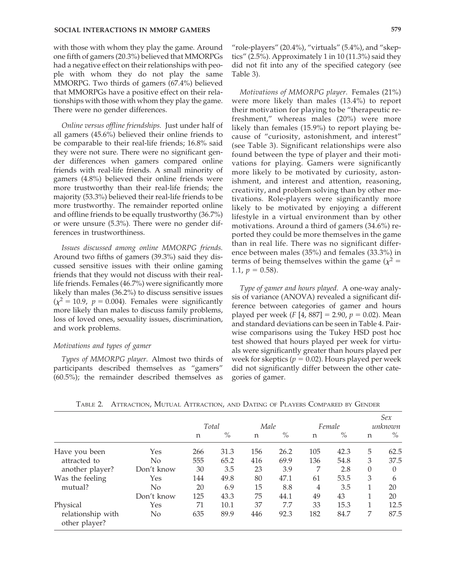with those with whom they play the game. Around one fifth of gamers (20.3%) believed that MMORPGs had a negative effect on their relationships with people with whom they do not play the same MMORPG. Two thirds of gamers (67.4%) believed that MMORPGs have a positive effect on their relationships with those with whom they play the game. There were no gender differences.

*Online versus offline friendships.* Just under half of all gamers (45.6%) believed their online friends to be comparable to their real-life friends; 16.8% said they were not sure. There were no significant gender differences when gamers compared online friends with real-life friends. A small minority of gamers (4.8%) believed their online friends were more trustworthy than their real-life friends; the majority (53.3%) believed their real-life friends to be more trustworthy. The remainder reported online and offline friends to be equally trustworthy (36.7%) or were unsure (5.3%). There were no gender differences in trustworthiness.

*Issues discussed among online MMORPG friends.* Around two fifths of gamers (39.3%) said they discussed sensitive issues with their online gaming friends that they would not discuss with their reallife friends. Females (46.7%) were significantly more likely than males (36.2%) to discuss sensitive issues  $(\chi^2 = 10.9, p = 0.004)$ . Females were significantly more likely than males to discuss family problems, loss of loved ones, sexuality issues, discrimination, and work problems.

#### *Motivations and types of gamer*

*Types of MMORPG player.* Almost two thirds of participants described themselves as "gamers" (60.5%); the remainder described themselves as "role-players"  $(20.4\%)$ , "virtuals"  $(5.4\%)$ , and "skeptics" (2.5%). Approximately 1 in 10 (11.3%) said they did not fit into any of the specified category (see Table 3).

*Motivations of MMORPG player.* Females (21%) were more likely than males (13.4%) to report their motivation for playing to be "therapeutic refreshment," whereas males (20%) were more likely than females (15.9%) to report playing because of "curiosity, astonishment, and interest" (see Table 3). Significant relationships were also found between the type of player and their motivations for playing. Gamers were significantly more likely to be motivated by curiosity, astonishment, and interest and attention, reasoning, creativity, and problem solving than by other motivations. Role-players were significantly more likely to be motivated by enjoying a different lifestyle in a virtual environment than by other motivations. Around a third of gamers (34.6%) reported they could be more themselves in the game than in real life. There was no significant difference between males (35%) and females (33.3%) in terms of being themselves within the game  $(\chi^2 =$ 1.1,  $p = 0.58$ ).

*Type of gamer and hours played.* A one-way analysis of variance (ANOVA) revealed a significant difference between categories of gamer and hours played per week  $(F [4, 887] = 2.90, p = 0.02)$ . Mean and standard deviations can be seen in Table 4. Pairwise comparisons using the Tukey HSD post hoc test showed that hours played per week for virtuals were significantly greater than hours played per week for skeptics ( $p = 0.02$ ). Hours played per week did not significantly differ between the other categories of gamer.

|                                    |            | Total |      | Male |      | Female |      | Sex<br>unknown |          |
|------------------------------------|------------|-------|------|------|------|--------|------|----------------|----------|
|                                    |            | n     | $\%$ | n    | $\%$ | n      | $\%$ | n              | $\%$     |
| Have you been                      | Yes        | 266   | 31.3 | 156  | 26.2 | 105    | 42.3 | 5              | 62.5     |
| attracted to                       | No         | 555   | 65.2 | 416  | 69.9 | 136    | 54.8 | 3              | 37.5     |
| another player?                    | Don't know | 30    | 3.5  | 23   | 3.9  | 7      | 2.8  | $\theta$       | $\theta$ |
| Was the feeling                    | Yes        | 144   | 49.8 | 80   | 47.1 | 61     | 53.5 | 3              | 6        |
| mutual?                            | No         | 20    | 6.9  | 15   | 8.8  | 4      | 3.5  | 1              | 20       |
|                                    | Don't know | 125   | 43.3 | 75   | 44.1 | 49     | 43   | 1              | 20       |
| Physical                           | Yes        | 71    | 10.1 | 37   | 7.7  | 33     | 15.3 | 1              | 12.5     |
| relationship with<br>other player? | No         | 635   | 89.9 | 446  | 92.3 | 182    | 84.7 | 7              | 87.5     |

TABLE 2. ATTRACTION, MUTUAL ATTRACTION, AND DATING OF PLAYERS COMPARED BY GENDER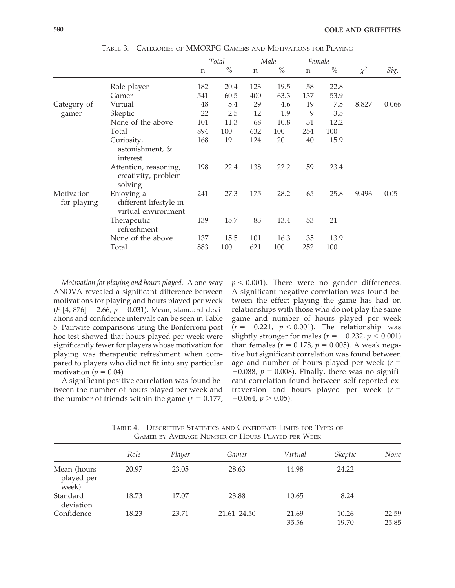|                           |                                                             | Total |      | Male |      | Female |      |          |       |
|---------------------------|-------------------------------------------------------------|-------|------|------|------|--------|------|----------|-------|
|                           |                                                             | n     | $\%$ | n    | $\%$ | n      | $\%$ | $\chi^2$ | Sig.  |
|                           | Role player                                                 | 182   | 20.4 | 123  | 19.5 | 58     | 22.8 |          |       |
|                           | Gamer                                                       | 541   | 60.5 | 400  | 63.3 | 137    | 53.9 |          |       |
| Category of               | Virtual                                                     | 48    | 5.4  | 29   | 4.6  | 19     | 7.5  | 8.827    | 0.066 |
| gamer                     | Skeptic                                                     | 22    | 2.5  | 12   | 1.9  | 9      | 3.5  |          |       |
|                           | None of the above                                           | 101   | 11.3 | 68   | 10.8 | 31     | 12.2 |          |       |
|                           | Total                                                       | 894   | 100  | 632  | 100  | 254    | 100  |          |       |
|                           | Curiosity,<br>astonishment, &<br>interest                   | 168   | 19   | 124  | 20   | 40     | 15.9 |          |       |
|                           | Attention, reasoning,<br>creativity, problem<br>solving     | 198   | 22.4 | 138  | 22.2 | 59     | 23.4 |          |       |
| Motivation<br>for playing | Enjoying a<br>different lifestyle in<br>virtual environment | 241   | 27.3 | 175  | 28.2 | 65     | 25.8 | 9.496    | 0.05  |
|                           | Therapeutic<br>refreshment                                  | 139   | 15.7 | 83   | 13.4 | 53     | 21   |          |       |
|                           | None of the above                                           | 137   | 15.5 | 101  | 16.3 | 35     | 13.9 |          |       |
|                           | Total                                                       | 883   | 100  | 621  | 100  | 252    | 100  |          |       |

TABLE 3. CATEGORIES OF MMORPG GAMERS AND MOTIVATIONS FOR PLAYING

*Motivation for playing and hours played.* A one-way ANOVA revealed a significant difference between motivations for playing and hours played per week  $(F [4, 876] = 2.66, p = 0.031)$ . Mean, standard deviations and confidence intervals can be seen in Table 5. Pairwise comparisons using the Bonferroni post hoc test showed that hours played per week were significantly fewer for players whose motivation for playing was therapeutic refreshment when compared to players who did not fit into any particular motivation ( $p = 0.04$ ).

A significant positive correlation was found between the number of hours played per week and the number of friends within the game  $(r = 0.177)$ ,

 $p < 0.001$ ). There were no gender differences. A significant negative correlation was found between the effect playing the game has had on relationships with those who do not play the same game and number of hours played per week  $(r = -0.221, p < 0.001)$ . The relationship was slightly stronger for males ( $r = -0.232$ ,  $p < 0.001$ ) than females ( $r = 0.178$ ,  $p = 0.005$ ). A weak negative but significant correlation was found between age and number of hours played per week  $(r =$  $-0.088$ ,  $p = 0.008$ ). Finally, there was no significant correlation found between self-reported extraversion and hours played per week  $(r =$  $-0.064$ ,  $p > 0.05$ ).

|                                    | Role  | Player | Gamer           | Virtual        | <i><b>Skeptic</b></i> | None           |
|------------------------------------|-------|--------|-----------------|----------------|-----------------------|----------------|
| Mean (hours<br>played per<br>week) | 20.97 | 23.05  | 28.63           | 14.98          | 24.22                 |                |
| Standard<br>deviation              | 18.73 | 17.07  | 23.88           | 10.65          | 8.24                  |                |
| Confidence                         | 18.23 | 23.71  | $21.61 - 24.50$ | 21.69<br>35.56 | 10.26<br>19.70        | 22.59<br>25.85 |

TABLE 4. DESCRIPTIVE STATISTICS AND CONFIDENCE LIMITS FOR TYPES OF GAMER BY AVERAGE NUMBER OF HOURS PLAYED PER WEEK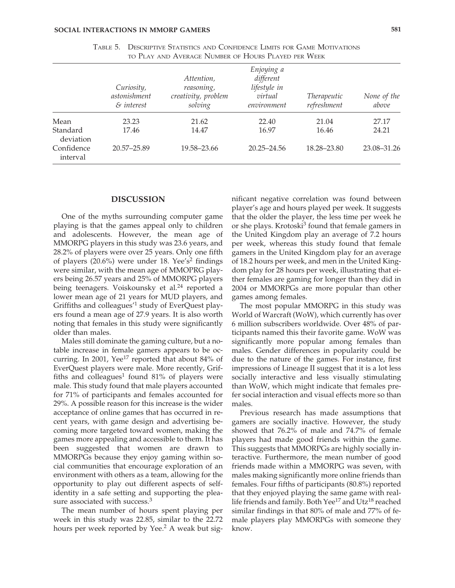|                        | Curiosity,<br>astonishment<br>& interest | Attention,<br>reasoning,<br>creativity, problem<br>solving | Enjoying a<br>different<br>lifestyle in<br>virtual<br>environment | Therapeutic<br>refreshment | None of the<br>above |
|------------------------|------------------------------------------|------------------------------------------------------------|-------------------------------------------------------------------|----------------------------|----------------------|
| Mean                   | 23.23                                    | 21.62                                                      | 22.40                                                             | 21.04                      | 27.17                |
| Standard<br>deviation  | 17.46                                    | 14.47                                                      | 16.97                                                             | 16.46                      | 24.21                |
| Confidence<br>interval | 20.57-25.89                              | 19.58–23.66                                                | $20.25 - 24.56$                                                   | 18.28–23.80                | 23.08-31.26          |

| TABLE 5. DESCRIPTIVE STATISTICS AND CONFIDENCE LIMITS FOR GAME MOTIVATIONS |
|----------------------------------------------------------------------------|
| to PLAY AND AVERAGE NUMBER OF HOURS PLAYED PER WEEK                        |

#### **DISCUSSION**

One of the myths surrounding computer game playing is that the games appeal only to children and adolescents. However, the mean age of MMORPG players in this study was 23.6 years, and 28.2% of players were over 25 years. Only one fifth of players  $(20.6\%)$  were under 18. Yee's<sup>2</sup> findings were similar, with the mean age of MMOPRG players being 26.57 years and 25% of MMORPG players being teenagers. Voiskounsky et al.<sup>24</sup> reported a lower mean age of 21 years for MUD players, and Griffiths and colleagues'<sup>1</sup> study of EverQuest players found a mean age of 27.9 years. It is also worth noting that females in this study were significantly older than males.

Males still dominate the gaming culture, but a notable increase in female gamers appears to be occurring. In 2001, Yee<sup>17</sup> reported that about 84% of EverQuest players were male. More recently, Griffiths and colleagues<sup>1</sup> found  $81\%$  of players were male. This study found that male players accounted for 71% of participants and females accounted for 29%. A possible reason for this increase is the wider acceptance of online games that has occurred in recent years, with game design and advertising becoming more targeted toward women, making the games more appealing and accessible to them. It has been suggested that women are drawn to MMORPGs because they enjoy gaming within social communities that encourage exploration of an environment with others as a team, allowing for the opportunity to play out different aspects of selfidentity in a safe setting and supporting the pleasure associated with success.<sup>3</sup>

The mean number of hours spent playing per week in this study was 22.85, similar to the 22.72 hours per week reported by Yee.<sup>2</sup> A weak but sig-

nificant negative correlation was found between player's age and hours played per week. It suggests that the older the player, the less time per week he or she plays. Krotoski<sup>3</sup> found that female gamers in the United Kingdom play an average of 7.2 hours per week, whereas this study found that female gamers in the United Kingdom play for an average of 18.2 hours per week, and men in the United Kingdom play for 28 hours per week, illustrating that either females are gaming for longer than they did in 2004 or MMORPGs are more popular than other games among females.

The most popular MMORPG in this study was World of Warcraft (WoW), which currently has over 6 million subscribers worldwide. Over 48% of participants named this their favorite game. WoW was significantly more popular among females than males. Gender differences in popularity could be due to the nature of the games. For instance, first impressions of Lineage II suggest that it is a lot less socially interactive and less visually stimulating than WoW, which might indicate that females prefer social interaction and visual effects more so than males.

Previous research has made assumptions that gamers are socially inactive. However, the study showed that 76.2% of male and 74.7% of female players had made good friends within the game. This suggests that MMORPGs are highly socially interactive. Furthermore, the mean number of good friends made within a MMORPG was seven, with males making significantly more online friends than females. Four fifths of participants (80.8%) reported that they enjoyed playing the same game with reallife friends and family. Both Yee<sup>17</sup> and Utz<sup>18</sup> reached similar findings in that 80% of male and 77% of female players play MMORPGs with someone they know.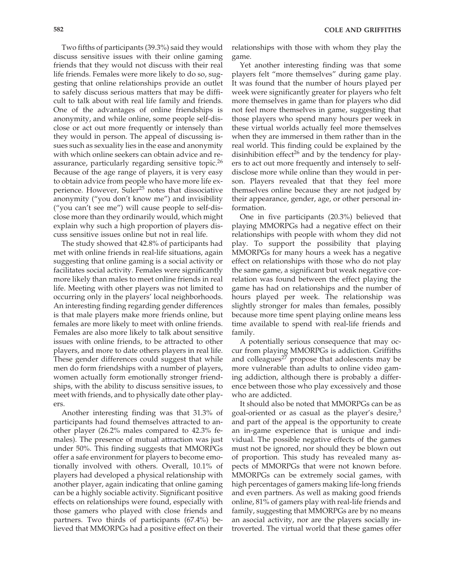Two fifths of participants (39.3%) said they would discuss sensitive issues with their online gaming friends that they would not discuss with their real life friends. Females were more likely to do so, suggesting that online relationships provide an outlet to safely discuss serious matters that may be difficult to talk about with real life family and friends. One of the advantages of online friendships is anonymity, and while online, some people self-disclose or act out more frequently or intensely than they would in person. The appeal of discussing issues such as sexuality lies in the ease and anonymity with which online seekers can obtain advice and reassurance, particularly regarding sensitive topic.<sup>26</sup> Because of the age range of players, it is very easy to obtain advice from people who have more life experience. However, Suler<sup>25</sup> notes that dissociative anonymity ("you don't know me") and invisibility ("you can't see me") will cause people to self-disclose more than they ordinarily would, which might explain why such a high proportion of players discuss sensitive issues online but not in real life.

The study showed that 42.8% of participants had met with online friends in real-life situations, again suggesting that online gaming is a social activity or facilitates social activity. Females were significantly more likely than males to meet online friends in real life. Meeting with other players was not limited to occurring only in the players' local neighborhoods. An interesting finding regarding gender differences is that male players make more friends online, but females are more likely to meet with online friends. Females are also more likely to talk about sensitive issues with online friends, to be attracted to other players, and more to date others players in real life. These gender differences could suggest that while men do form friendships with a number of players, women actually form emotionally stronger friendships, with the ability to discuss sensitive issues, to meet with friends, and to physically date other players.

Another interesting finding was that 31.3% of participants had found themselves attracted to another player (26.2% males compared to 42.3% females). The presence of mutual attraction was just under 50%. This finding suggests that MMORPGs offer a safe environment for players to become emotionally involved with others. Overall, 10.1% of players had developed a physical relationship with another player, again indicating that online gaming can be a highly sociable activity. Significant positive effects on relationships were found, especially with those gamers who played with close friends and partners. Two thirds of participants (67.4%) believed that MMORPGs had a positive effect on their

relationships with those with whom they play the game.

Yet another interesting finding was that some players felt "more themselves" during game play. It was found that the number of hours played per week were significantly greater for players who felt more themselves in game than for players who did not feel more themselves in game, suggesting that those players who spend many hours per week in these virtual worlds actually feel more themselves when they are immersed in them rather than in the real world. This finding could be explained by the disinhibition effect<sup>26</sup> and by the tendency for players to act out more frequently and intensely to selfdisclose more while online than they would in person. Players revealed that that they feel more themselves online because they are not judged by their appearance, gender, age, or other personal information.

One in five participants (20.3%) believed that playing MMORPGs had a negative effect on their relationships with people with whom they did not play. To support the possibility that playing MMORPGs for many hours a week has a negative effect on relationships with those who do not play the same game, a significant but weak negative correlation was found between the effect playing the game has had on relationships and the number of hours played per week. The relationship was slightly stronger for males than females, possibly because more time spent playing online means less time available to spend with real-life friends and family.

A potentially serious consequence that may occur from playing MMORPGs is addiction. Griffiths and colleagues $^{27}$  propose that adolescents may be more vulnerable than adults to online video gaming addiction, although there is probably a difference between those who play excessively and those who are addicted.

It should also be noted that MMORPGs can be as goal-oriented or as casual as the player's desire, $3$ and part of the appeal is the opportunity to create an in-game experience that is unique and individual. The possible negative effects of the games must not be ignored, nor should they be blown out of proportion. This study has revealed many aspects of MMORPGs that were not known before. MMORPGs can be extremely social games, with high percentages of gamers making life-long friends and even partners. As well as making good friends online, 81% of gamers play with real-life friends and family, suggesting that MMORPGs are by no means an asocial activity, nor are the players socially introverted. The virtual world that these games offer